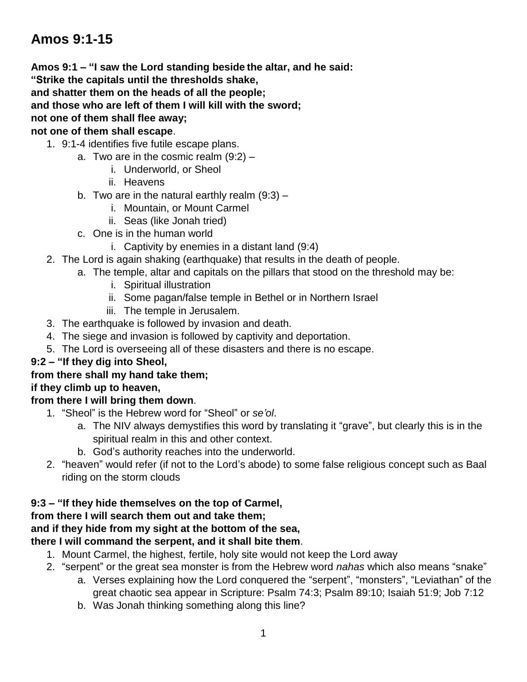# **Amos 9:1-15**

**Amos 9:1 – "I saw the Lord standing beside the altar, and he said: "Strike the capitals until the thresholds shake, and shatter them on the heads of all the people; and those who are left of them I will kill with the sword; not one of them shall flee away; not one of them shall escape**.

- 1. 9:1-4 identifies five futile escape plans.
	- a. Two are in the cosmic realm  $(9:2)$ 
		- i. Underworld, or Sheol
		- ii. Heavens
	- b. Two are in the natural earthly realm  $(9:3)$ 
		- i. Mountain, or Mount Carmel
		- ii. Seas (like Jonah tried)
	- c. One is in the human world
		- i. Captivity by enemies in a distant land (9:4)
- 2. The Lord is again shaking (earthquake) that results in the death of people.
	- a. The temple, altar and capitals on the pillars that stood on the threshold may be:
		- i. Spiritual illustration
		- ii. Some pagan/false temple in Bethel or in Northern Israel
		- iii. The temple in Jerusalem.
- 3. The earthquake is followed by invasion and death.
- 4. The siege and invasion is followed by captivity and deportation.
- 5. The Lord is overseeing all of these disasters and there is no escape.

## **9:2 – "If they dig into Sheol,**

## **from there shall my hand take them;**

#### **if they climb up to heaven,**

## **from there I will bring them down**.

- 1. "Sheol" is the Hebrew word for "Sheol" or *se'ol*.
	- a. The NIV always demystifies this word by translating it "grave", but clearly this is in the spiritual realm in this and other context.
	- b. God's authority reaches into the underworld.
- 2. "heaven" would refer (if not to the Lord's abode) to some false religious concept such as Baal riding on the storm clouds

## **9:3 – "If they hide themselves on the top of Carmel,**

## **from there I will search them out and take them;**

## **and if they hide from my sight at the bottom of the sea,**

# **there I will command the serpent, and it shall bite them**.

- 1. Mount Carmel, the highest, fertile, holy site would not keep the Lord away
- 2. "serpent" or the great sea monster is from the Hebrew word *nahas* which also means "snake"
	- a. Verses explaining how the Lord conquered the "serpent", "monsters", "Leviathan" of the great chaotic sea appear in Scripture: Psalm 74:3; Psalm 89:10; Isaiah 51:9; Job 7:12
	- b. Was Jonah thinking something along this line?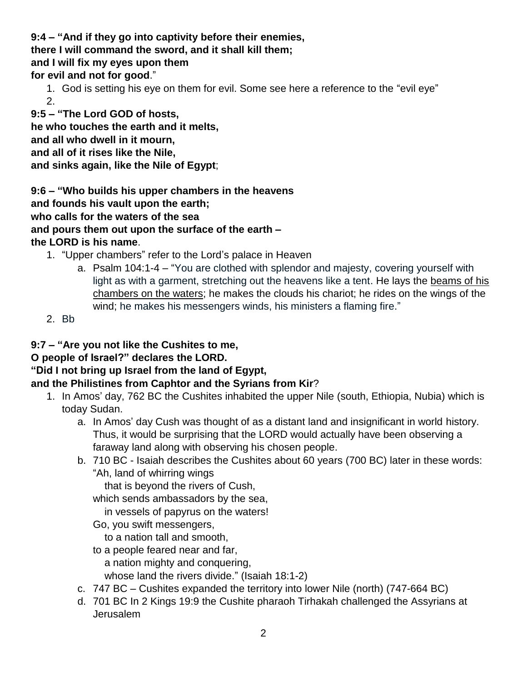**9:4 – "And if they go into captivity before their enemies, there I will command the sword, and it shall kill them; and I will fix my eyes upon them for evil and not for good**."

1. God is setting his eye on them for evil. Some see here a reference to the "evil eye" 2.

**9:5 – "The Lord GOD of hosts,**

**he who touches the earth and it melts,**

**and all who dwell in it mourn,**

**and all of it rises like the Nile,**

**and sinks again, like the Nile of Egypt**;

**9:6 – "Who builds his upper chambers in the heavens and founds his vault upon the earth; who calls for the waters of the sea and pours them out upon the surface of the earth – the LORD is his name**.

- 1. "Upper chambers" refer to the Lord's palace in Heaven
	- a. Psalm 104:1-4 "You are clothed with splendor and majesty, covering yourself with light as with a garment, stretching out the heavens like a tent. He lays the beams of his chambers on the waters; he makes the clouds his chariot; he rides on the wings of the wind; he makes his messengers winds, his ministers a flaming fire."
- 2. Bb

**9:7 – "Are you not like the Cushites to me,**

# **O people of Israel?" declares the LORD.**

# **"Did I not bring up Israel from the land of Egypt,**

## **and the Philistines from Caphtor and the Syrians from Kir**?

- 1. In Amos' day, 762 BC the Cushites inhabited the upper Nile (south, Ethiopia, Nubia) which is today Sudan.
	- a. In Amos' day Cush was thought of as a distant land and insignificant in world history. Thus, it would be surprising that the LORD would actually have been observing a faraway land along with observing his chosen people.
	- b. 710 BC Isaiah describes the Cushites about 60 years (700 BC) later in these words: "Ah, land of whirring wings

that is beyond the rivers of Cush,

which sends ambassadors by the sea,

in vessels of papyrus on the waters!

Go, you swift messengers,

to a nation tall and smooth,

to a people feared near and far,

a nation mighty and conquering,

whose land the rivers divide." (Isaiah 18:1-2)

- c. 747 BC Cushites expanded the territory into lower Nile (north) (747-664 BC)
- d. 701 BC In 2 Kings 19:9 the Cushite pharaoh Tirhakah challenged the Assyrians at Jerusalem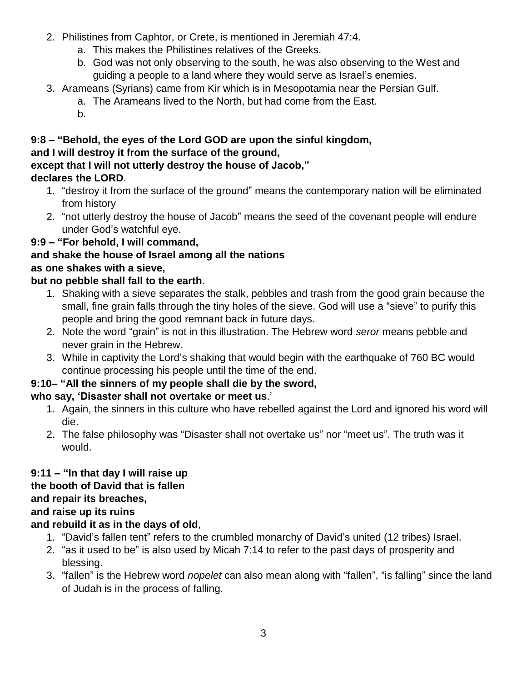- 2. Philistines from Caphtor, or Crete, is mentioned in Jeremiah 47:4.
	- a. This makes the Philistines relatives of the Greeks.
	- b. God was not only observing to the south, he was also observing to the West and guiding a people to a land where they would serve as Israel's enemies.
- 3. Arameans (Syrians) came from Kir which is in Mesopotamia near the Persian Gulf.
	- a. The Arameans lived to the North, but had come from the East.
	- b.

#### **9:8 – "Behold, the eyes of the Lord GOD are upon the sinful kingdom, and I will destroy it from the surface of the ground, except that I will not utterly destroy the house of Jacob," declares the LORD**.

- 1. "destroy it from the surface of the ground" means the contemporary nation will be eliminated from history
- 2. "not utterly destroy the house of Jacob" means the seed of the covenant people will endure under God's watchful eye.

# **9:9 – "For behold, I will command,**

# **and shake the house of Israel among all the nations as one shakes with a sieve,**

# **but no pebble shall fall to the earth**.

- 1. Shaking with a sieve separates the stalk, pebbles and trash from the good grain because the small, fine grain falls through the tiny holes of the sieve. God will use a "sieve" to purify this people and bring the good remnant back in future days.
- 2. Note the word "grain" is not in this illustration. The Hebrew word *seror* means pebble and never grain in the Hebrew.
- 3. While in captivity the Lord's shaking that would begin with the earthquake of 760 BC would continue processing his people until the time of the end.

# **9:10– "All the sinners of my people shall die by the sword,**

# **who say, 'Disaster shall not overtake or meet us**.'

- 1. Again, the sinners in this culture who have rebelled against the Lord and ignored his word will die.
- 2. The false philosophy was "Disaster shall not overtake us" nor "meet us". The truth was it would.

# **9:11 – "In that day I will raise up**

# **the booth of David that is fallen**

# **and repair its breaches,**

## **and raise up its ruins**

# **and rebuild it as in the days of old**,

- 1. "David's fallen tent" refers to the crumbled monarchy of David's united (12 tribes) Israel.
- 2. "as it used to be" is also used by Micah 7:14 to refer to the past days of prosperity and blessing.
- 3. "fallen" is the Hebrew word *nopelet* can also mean along with "fallen", "is falling" since the land of Judah is in the process of falling.